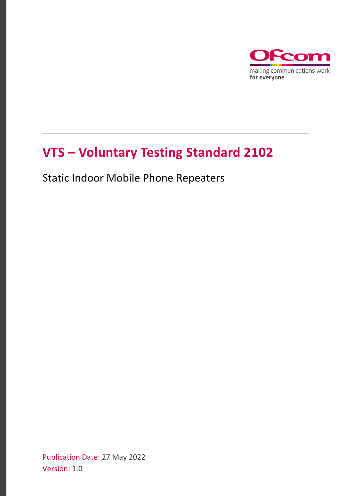

# **VTS – Voluntary Testing Standard 2102**

Static Indoor Mobile Phone Repeaters

Publication Date: 27 May 2022 Version: 1.0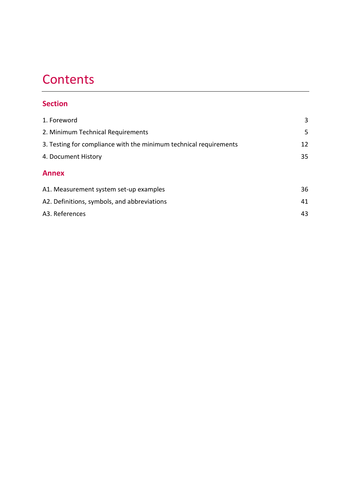# **Contents**

# **Section**

| 1. Foreword                                                       | 3  |
|-------------------------------------------------------------------|----|
| 2. Minimum Technical Requirements                                 | 5  |
| 3. Testing for compliance with the minimum technical requirements | 12 |
| 4. Document History                                               | 35 |
| <b>Annex</b>                                                      |    |
| A1. Measurement system set-up examples                            | 36 |
| A2. Definitions, symbols, and abbreviations                       | 41 |
| A3. References                                                    | 43 |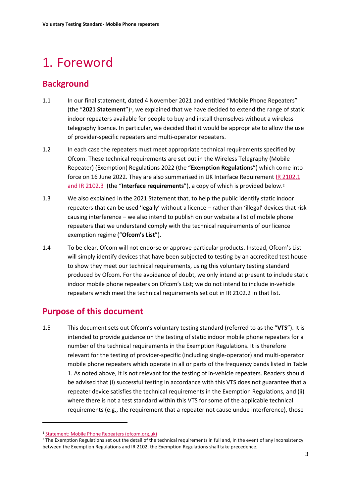# <span id="page-2-0"></span>1. Foreword

# **Background**

- 1.1 In our final statement, dated 4 November 2021 and entitled "Mobile Phone Repeaters" (the "**2021 Statement**")[1](#page-2-1), we explained that we have decided to extend the range of static indoor repeaters available for people to buy and install themselves without a wireless telegraphy licence. In particular, we decided that it would be appropriate to allow the use of provider-specific repeaters and multi-operator repeaters.
- 1.2 In each case the repeaters must meet appropriate technical requirements specified by Ofcom. These technical requirements are set out in the Wireless Telegraphy (Mobile Repeater) (Exemption) Regulations 2022 (the "**Exemption Regulations**") which come into force on 16 June 2022. They are also summarised in UK Interface Requirement IR [2102.](https://www.ofcom.org.uk/__data/assets/pdf_file/0016/112291/IR_2102.pdf)1 and IR [2](#page-2-2)102.3 (the "**Interface requirements**"), a copy of which is provided below.<sup>2</sup>
- 1.3 We also explained in the 2021 Statement that, to help the public identify static indoor repeaters that can be used 'legally' without a licence – rather than 'illegal' devices that risk causing interference – we also intend to publish on our website a list of mobile phone repeaters that we understand comply with the technical requirements of our licence exemption regime ("**Ofcom's List**").
- 1.4 To be clear, Ofcom will not endorse or approve particular products. Instead, Ofcom's List will simply identify devices that have been subjected to testing by an accredited test house to show they meet our technical requirements, using this voluntary testing standard produced by Ofcom. For the avoidance of doubt, we only intend at present to include static indoor mobile phone repeaters on Ofcom's List; we do not intend to include in-vehicle repeaters which meet the technical requirements set out in IR 2102.2 in that list.

# **Purpose of this document**

1.5 This document sets out Ofcom's voluntary testing standard (referred to as the "**VTS**"). It is intended to provide guidance on the testing of static indoor mobile phone repeaters for a number of the technical requirements in the Exemption Regulations. It is therefore relevant for the testing of provider-specific (including single-operator) and multi-operator mobile phone repeaters which operate in all or parts of the frequency bands listed in [Table](#page-3-0)  [1.](#page-3-0) As noted above, it is not relevant for the testing of in-vehicle repeaters. Readers should be advised that (i) successful testing in accordance with this VTS does not guarantee that a repeater device satisfies the technical requirements in the Exemption Regulations, and (ii) where there is not a test standard within this VTS for some of the applicable technical requirements (e.g., the requirement that a repeater not cause undue interference), those

<span id="page-2-1"></span><sup>&</sup>lt;sup>1</sup> [Statement: Mobile Phone Repeaters \(ofcom.org.uk\)](https://www.ofcom.org.uk/__data/assets/pdf_file/0032/227579/statement-mobile-phone-repeaters.pdf)

<span id="page-2-2"></span><sup>&</sup>lt;sup>2</sup> The Exemption Regulations set out the detail of the technical requirements in full and, in the event of any inconsistency between the Exemption Regulations and IR 2102, the Exemption Regulations shall take precedence.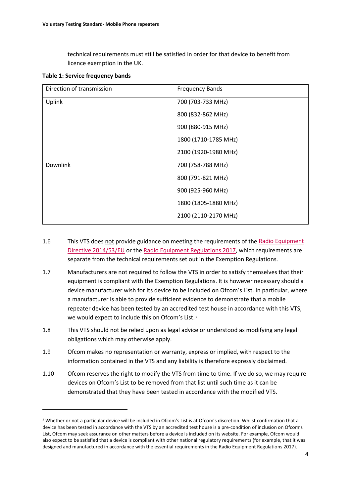technical requirements must still be satisfied in order for that device to benefit from licence exemption in the UK.

<span id="page-3-0"></span>

| Direction of transmission | <b>Frequency Bands</b> |
|---------------------------|------------------------|
| Uplink                    | 700 (703-733 MHz)      |
|                           | 800 (832-862 MHz)      |
|                           | 900 (880-915 MHz)      |
|                           | 1800 (1710-1785 MHz)   |
|                           | 2100 (1920-1980 MHz)   |
| <b>Downlink</b>           | 700 (758-788 MHz)      |
|                           | 800 (791-821 MHz)      |
|                           | 900 (925-960 MHz)      |
|                           | 1800 (1805-1880 MHz)   |
|                           | 2100 (2110-2170 MHz)   |

- 1.6 This VTS does not provide guidance on meeting the requirements of the Radio Equipment [Directive 2014/53/EU](https://eur-lex.europa.eu/legal-content/EN/TXT/?uri=celex%3A32014L0053) or the [Radio Equipment Regulations 2017,](https://www.legislation.gov.uk/uksi/2017/1206/made) which requirements are separate from the technical requirements set out in the Exemption Regulations.
- 1.7 Manufacturers are not required to follow the VTS in order to satisfy themselves that their equipment is compliant with the Exemption Regulations. It is however necessary should a device manufacturer wish for its device to be included on Ofcom's List. In particular, where a manufacturer is able to provide sufficient evidence to demonstrate that a mobile repeater device has been tested by an accredited test house in accordance with this VTS, we would expect to include this on Ofcom's List.<sup>3</sup>
- 1.8 This VTS should not be relied upon as legal advice or understood as modifying any legal obligations which may otherwise apply.
- 1.9 Ofcom makes no representation or warranty, express or implied, with respect to the information contained in the VTS and any liability is therefore expressly disclaimed.
- 1.10 Ofcom reserves the right to modify the VTS from time to time. If we do so, we may require devices on Ofcom's List to be removed from that list until such time as it can be demonstrated that they have been tested in accordance with the modified VTS.

<span id="page-3-1"></span><sup>&</sup>lt;sup>3</sup> Whether or not a particular device will be included in Ofcom's List is at Ofcom's discretion. Whilst confirmation that a device has been tested in accordance with the VTS by an accredited test house is a pre-condition of inclusion on Ofcom's List, Ofcom may seek assurance on other matters before a device is included on its website. For example, Ofcom would also expect to be satisfied that a device is compliant with other national regulatory requirements (for example, that it was designed and manufactured in accordance with the essential requirements in the Radio Equipment Regulations 2017).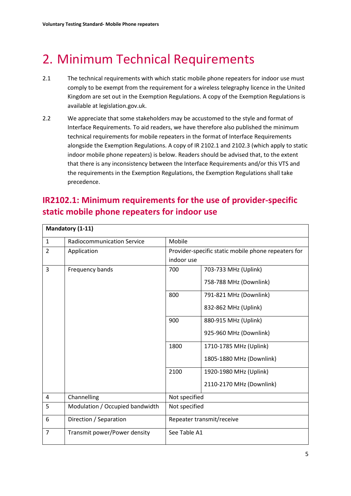# <span id="page-4-0"></span>2. Minimum Technical Requirements

- 2.1 The technical requirements with which static mobile phone repeaters for indoor use must comply to be exempt from the requirement for a wireless telegraphy licence in the United Kingdom are set out in the Exemption Regulations. A copy of the Exemption Regulations is available at legislation.gov.uk.
- 2.2 We appreciate that some stakeholders may be accustomed to the style and format of Interface Requirements. To aid readers, we have therefore also published the minimum technical requirements for mobile repeaters in the format of Interface Requirements alongside the Exemption Regulations. A copy of IR 2102.1 and 2102.3 (which apply to static indoor mobile phone repeaters) is below. Readers should be advised that, to the extent that there is any inconsistency between the Interface Requirements and/or this VTS and the requirements in the Exemption Regulations, the Exemption Regulations shall take precedence.

# **IR2102.1: Minimum requirements for the use of provider-specific static mobile phone repeaters for indoor use**

|                | Mandatory (1-11)                  |                                                     |                          |
|----------------|-----------------------------------|-----------------------------------------------------|--------------------------|
| $\mathbf{1}$   | <b>Radiocommunication Service</b> | Mobile                                              |                          |
| $\overline{2}$ | Application                       | Provider-specific static mobile phone repeaters for |                          |
|                |                                   | indoor use                                          |                          |
| 3              | Frequency bands                   | 700                                                 | 703-733 MHz (Uplink)     |
|                |                                   |                                                     | 758-788 MHz (Downlink)   |
|                |                                   | 800                                                 | 791-821 MHz (Downlink)   |
|                |                                   |                                                     | 832-862 MHz (Uplink)     |
|                |                                   | 900                                                 | 880-915 MHz (Uplink)     |
|                |                                   |                                                     | 925-960 MHz (Downlink)   |
|                |                                   | 1800                                                | 1710-1785 MHz (Uplink)   |
|                |                                   |                                                     | 1805-1880 MHz (Downlink) |
|                |                                   | 2100                                                | 1920-1980 MHz (Uplink)   |
|                |                                   |                                                     | 2110-2170 MHz (Downlink) |
| 4              | Channelling                       | Not specified                                       |                          |
| 5              | Modulation / Occupied bandwidth   | Not specified                                       |                          |
| 6              | Direction / Separation            | Repeater transmit/receive                           |                          |
| $\overline{7}$ | Transmit power/Power density      | See Table A1                                        |                          |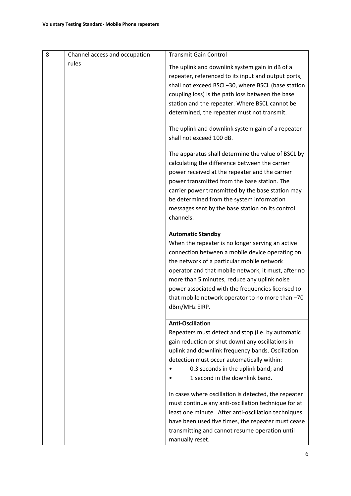| 8 | Channel access and occupation | <b>Transmit Gain Control</b>                                                                                                                                                                                                                                                                                                                                                                                                                                                                                                                                |
|---|-------------------------------|-------------------------------------------------------------------------------------------------------------------------------------------------------------------------------------------------------------------------------------------------------------------------------------------------------------------------------------------------------------------------------------------------------------------------------------------------------------------------------------------------------------------------------------------------------------|
|   | rules                         | The uplink and downlink system gain in dB of a<br>repeater, referenced to its input and output ports,<br>shall not exceed BSCL-30, where BSCL (base station<br>coupling loss) is the path loss between the base<br>station and the repeater. Where BSCL cannot be<br>determined, the repeater must not transmit.<br>The uplink and downlink system gain of a repeater<br>shall not exceed 100 dB.<br>The apparatus shall determine the value of BSCL by<br>calculating the difference between the carrier<br>power received at the repeater and the carrier |
|   |                               | power transmitted from the base station. The<br>carrier power transmitted by the base station may<br>be determined from the system information<br>messages sent by the base station on its control<br>channels.                                                                                                                                                                                                                                                                                                                                             |
|   |                               | <b>Automatic Standby</b><br>When the repeater is no longer serving an active<br>connection between a mobile device operating on<br>the network of a particular mobile network<br>operator and that mobile network, it must, after no<br>more than 5 minutes, reduce any uplink noise<br>power associated with the frequencies licensed to<br>that mobile network operator to no more than -70<br>dBm/MHz EIRP.                                                                                                                                              |
|   |                               | <b>Anti-Oscillation</b><br>Repeaters must detect and stop (i.e. by automatic<br>gain reduction or shut down) any oscillations in<br>uplink and downlink frequency bands. Oscillation<br>detection must occur automatically within:<br>0.3 seconds in the uplink band; and<br>1 second in the downlink band.                                                                                                                                                                                                                                                 |
|   |                               | In cases where oscillation is detected, the repeater<br>must continue any anti-oscillation technique for at<br>least one minute. After anti-oscillation techniques<br>have been used five times, the repeater must cease<br>transmitting and cannot resume operation until<br>manually reset.                                                                                                                                                                                                                                                               |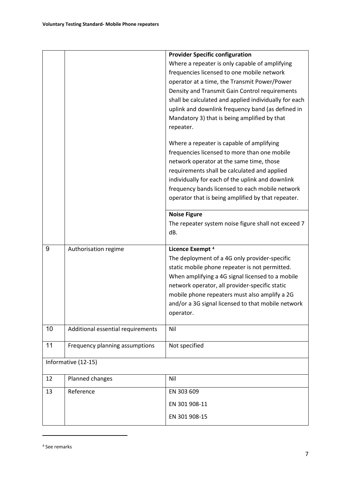<span id="page-6-0"></span>

|    |                                   | <b>Provider Specific configuration</b>                |
|----|-----------------------------------|-------------------------------------------------------|
|    |                                   | Where a repeater is only capable of amplifying        |
|    |                                   | frequencies licensed to one mobile network            |
|    |                                   | operator at a time, the Transmit Power/Power          |
|    |                                   | Density and Transmit Gain Control requirements        |
|    |                                   | shall be calculated and applied individually for each |
|    |                                   | uplink and downlink frequency band (as defined in     |
|    |                                   | Mandatory 3) that is being amplified by that          |
|    |                                   | repeater.                                             |
|    |                                   | Where a repeater is capable of amplifying             |
|    |                                   | frequencies licensed to more than one mobile          |
|    |                                   | network operator at the same time, those              |
|    |                                   | requirements shall be calculated and applied          |
|    |                                   | individually for each of the uplink and downlink      |
|    |                                   | frequency bands licensed to each mobile network       |
|    |                                   | operator that is being amplified by that repeater.    |
|    |                                   | <b>Noise Figure</b>                                   |
|    |                                   | The repeater system noise figure shall not exceed 7   |
|    |                                   | dB.                                                   |
| 9  | Authorisation regime              | Licence Exempt <sup>4</sup>                           |
|    |                                   | The deployment of a 4G only provider-specific         |
|    |                                   | static mobile phone repeater is not permitted.        |
|    |                                   | When amplifying a 4G signal licensed to a mobile      |
|    |                                   | network operator, all provider-specific static        |
|    |                                   | mobile phone repeaters must also amplify a 2G         |
|    |                                   | and/or a 3G signal licensed to that mobile network    |
|    |                                   | operator.                                             |
| 10 | Additional essential requirements | Nil                                                   |
| 11 | Frequency planning assumptions    | Not specified                                         |
|    | Informative (12-15)               |                                                       |
| 12 | Planned changes                   | Nil                                                   |
| 13 | Reference                         | EN 303 609                                            |
|    |                                   | EN 301 908-11                                         |
|    |                                   | EN 301 908-15                                         |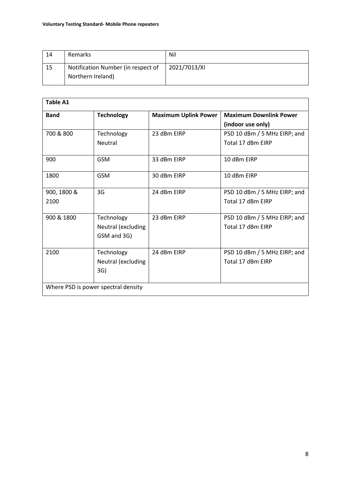| 14 | Remarks                                                 | Nil          |
|----|---------------------------------------------------------|--------------|
| 15 | Notification Number (in respect of<br>Northern Ireland) | 2021/7013/XI |

| <b>Table A1</b>                     |                    |                             |                               |
|-------------------------------------|--------------------|-----------------------------|-------------------------------|
| <b>Band</b>                         | <b>Technology</b>  | <b>Maximum Uplink Power</b> | <b>Maximum Downlink Power</b> |
|                                     |                    |                             | (indoor use only)             |
| 700 & 800                           | Technology         | 23 dBm EIRP                 | PSD 10 dBm / 5 MHz EIRP; and  |
|                                     | Neutral            |                             | Total 17 dBm EIRP             |
| 900                                 | <b>GSM</b>         | 33 dBm EIRP                 | 10 dBm EIRP                   |
| 1800                                | <b>GSM</b>         | 30 dBm EIRP                 | 10 dBm FIRP                   |
| 900, 1800 &                         | 3G                 | 24 dBm EIRP                 | PSD 10 dBm / 5 MHz EIRP; and  |
| 2100                                |                    |                             | Total 17 dBm EIRP             |
| 900 & 1800                          | Technology         | 23 dBm EIRP                 | PSD 10 dBm / 5 MHz EIRP; and  |
|                                     | Neutral (excluding |                             | Total 17 dBm EIRP             |
|                                     | GSM and 3G)        |                             |                               |
| 2100                                | Technology         | 24 dBm EIRP                 | PSD 10 dBm / 5 MHz EIRP; and  |
|                                     | Neutral (excluding |                             | Total 17 dBm EIRP             |
|                                     | 3G)                |                             |                               |
| Where PSD is power spectral density |                    |                             |                               |
|                                     |                    |                             |                               |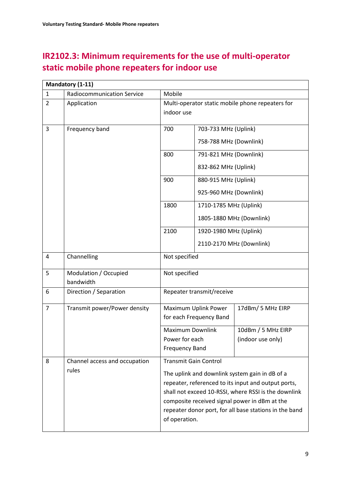# **IR2102.3: Minimum requirements for the use of multi-operator static mobile phone repeaters for indoor use**

|                                                                                                                                                                        | Mandatory (1-11)                   |                                                  |                          |                                                        |
|------------------------------------------------------------------------------------------------------------------------------------------------------------------------|------------------------------------|--------------------------------------------------|--------------------------|--------------------------------------------------------|
| $\mathbf{1}$                                                                                                                                                           | <b>Radiocommunication Service</b>  | Mobile                                           |                          |                                                        |
| $\overline{2}$                                                                                                                                                         | Application                        | Multi-operator static mobile phone repeaters for |                          |                                                        |
|                                                                                                                                                                        |                                    | indoor use                                       |                          |                                                        |
| $\overline{3}$                                                                                                                                                         | Frequency band                     | 700                                              | 703-733 MHz (Uplink)     |                                                        |
|                                                                                                                                                                        |                                    |                                                  | 758-788 MHz (Downlink)   |                                                        |
|                                                                                                                                                                        |                                    | 800                                              | 791-821 MHz (Downlink)   |                                                        |
|                                                                                                                                                                        |                                    |                                                  | 832-862 MHz (Uplink)     |                                                        |
|                                                                                                                                                                        |                                    | 900                                              | 880-915 MHz (Uplink)     |                                                        |
|                                                                                                                                                                        |                                    |                                                  | 925-960 MHz (Downlink)   |                                                        |
|                                                                                                                                                                        |                                    | 1800                                             | 1710-1785 MHz (Uplink)   |                                                        |
|                                                                                                                                                                        |                                    |                                                  |                          | 1805-1880 MHz (Downlink)                               |
|                                                                                                                                                                        |                                    | 2100                                             | 1920-1980 MHz (Uplink)   |                                                        |
|                                                                                                                                                                        |                                    |                                                  | 2110-2170 MHz (Downlink) |                                                        |
| 4                                                                                                                                                                      | Channelling                        | Not specified                                    |                          |                                                        |
| 5                                                                                                                                                                      | Modulation / Occupied<br>bandwidth | Not specified                                    |                          |                                                        |
| 6                                                                                                                                                                      | Direction / Separation             | Repeater transmit/receive                        |                          |                                                        |
| $\overline{7}$                                                                                                                                                         | Transmit power/Power density       | 17dBm/5 MHz EIRP<br>Maximum Uplink Power         |                          |                                                        |
|                                                                                                                                                                        |                                    |                                                  | for each Frequency Band  |                                                        |
|                                                                                                                                                                        |                                    | <b>Maximum Downlink</b>                          |                          | 10dBm / 5 MHz EIRP                                     |
|                                                                                                                                                                        |                                    | Power for each<br><b>Frequency Band</b>          |                          | (indoor use only)                                      |
| 8                                                                                                                                                                      | Channel access and occupation      | <b>Transmit Gain Control</b>                     |                          |                                                        |
| rules<br>The uplink and downlink system gain in dB of a<br>repeater, referenced to its input and output ports,<br>shall not exceed 10-RSSI, where RSSI is the downlink |                                    |                                                  |                          |                                                        |
|                                                                                                                                                                        |                                    |                                                  |                          |                                                        |
|                                                                                                                                                                        |                                    |                                                  |                          |                                                        |
|                                                                                                                                                                        |                                    | composite received signal power in dBm at the    |                          |                                                        |
|                                                                                                                                                                        |                                    | of operation.                                    |                          | repeater donor port, for all base stations in the band |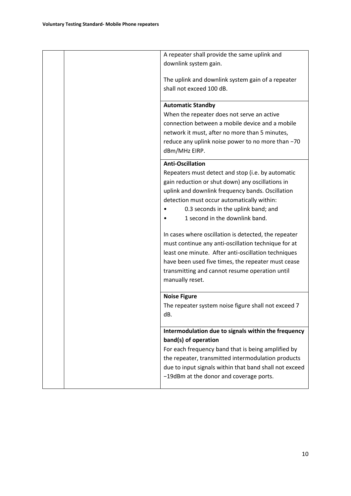|  | A repeater shall provide the same uplink and                                                                                                                                                                                                                                                                |
|--|-------------------------------------------------------------------------------------------------------------------------------------------------------------------------------------------------------------------------------------------------------------------------------------------------------------|
|  | downlink system gain.                                                                                                                                                                                                                                                                                       |
|  | The uplink and downlink system gain of a repeater<br>shall not exceed 100 dB.                                                                                                                                                                                                                               |
|  | <b>Automatic Standby</b><br>When the repeater does not serve an active<br>connection between a mobile device and a mobile<br>network it must, after no more than 5 minutes,<br>reduce any uplink noise power to no more than -70<br>dBm/MHz EIRP.                                                           |
|  | <b>Anti-Oscillation</b><br>Repeaters must detect and stop (i.e. by automatic<br>gain reduction or shut down) any oscillations in<br>uplink and downlink frequency bands. Oscillation<br>detection must occur automatically within:<br>0.3 seconds in the uplink band; and<br>1 second in the downlink band. |
|  | In cases where oscillation is detected, the repeater<br>must continue any anti-oscillation technique for at<br>least one minute. After anti-oscillation techniques<br>have been used five times, the repeater must cease<br>transmitting and cannot resume operation until<br>manually reset.               |
|  | <b>Noise Figure</b><br>The repeater system noise figure shall not exceed 7<br>dB.                                                                                                                                                                                                                           |
|  | Intermodulation due to signals within the frequency<br>band(s) of operation<br>For each frequency band that is being amplified by<br>the repeater, transmitted intermodulation products<br>due to input signals within that band shall not exceed<br>-19dBm at the donor and coverage ports.                |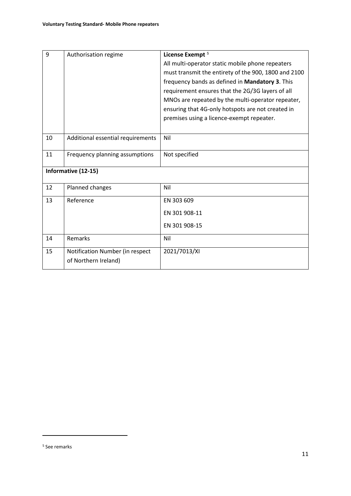<span id="page-10-0"></span>

| 9  | Authorisation regime              | License Exempt <sup>5</sup>                          |
|----|-----------------------------------|------------------------------------------------------|
|    |                                   | All multi-operator static mobile phone repeaters     |
|    |                                   | must transmit the entirety of the 900, 1800 and 2100 |
|    |                                   | frequency bands as defined in Mandatory 3. This      |
|    |                                   | requirement ensures that the 2G/3G layers of all     |
|    |                                   | MNOs are repeated by the multi-operator repeater,    |
|    |                                   | ensuring that 4G-only hotspots are not created in    |
|    |                                   | premises using a licence-exempt repeater.            |
|    |                                   |                                                      |
| 10 | Additional essential requirements | Nil                                                  |
|    |                                   |                                                      |
| 11 | Frequency planning assumptions    | Not specified                                        |
|    | Informative (12-15)               |                                                      |
|    |                                   |                                                      |
| 12 | Planned changes                   | Nil                                                  |
| 13 | Reference                         | EN 303 609                                           |
|    |                                   | EN 301 908-11                                        |
|    |                                   | EN 301 908-15                                        |
| 14 | Remarks                           | Nil                                                  |
| 15 | Notification Number (in respect   | 2021/7013/XI                                         |
|    | of Northern Ireland)              |                                                      |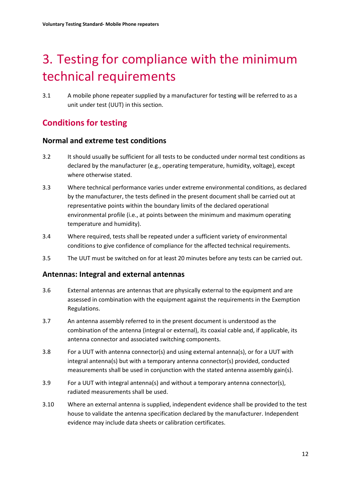# <span id="page-11-0"></span>3. Testing for compliance with the minimum technical requirements

3.1 A mobile phone repeater supplied by a manufacturer for testing will be referred to as a unit under test (UUT) in this section.

# **Conditions for testing**

## **Normal and extreme test conditions**

- 3.2 It should usually be sufficient for all tests to be conducted under normal test conditions as declared by the manufacturer (e.g., operating temperature, humidity, voltage), except where otherwise stated.
- 3.3 Where technical performance varies under extreme environmental conditions, as declared by the manufacturer, the tests defined in the present document shall be carried out at representative points within the boundary limits of the declared operational environmental profile (i.e., at points between the minimum and maximum operating temperature and humidity).
- 3.4 Where required, tests shall be repeated under a sufficient variety of environmental conditions to give confidence of compliance for the affected technical requirements.
- 3.5 The UUT must be switched on for at least 20 minutes before any tests can be carried out.

## **Antennas: Integral and external antennas**

- 3.6 External antennas are antennas that are physically external to the equipment and are assessed in combination with the equipment against the requirements in the Exemption Regulations.
- 3.7 An antenna assembly referred to in the present document is understood as the combination of the antenna (integral or external), its coaxial cable and, if applicable, its antenna connector and associated switching components.
- 3.8 For a UUT with antenna connector(s) and using external antenna(s), or for a UUT with integral antenna(s) but with a temporary antenna connector(s) provided, conducted measurements shall be used in conjunction with the stated antenna assembly gain(s).
- 3.9 For a UUT with integral antenna(s) and without a temporary antenna connector(s), radiated measurements shall be used.
- 3.10 Where an external antenna is supplied, independent evidence shall be provided to the test house to validate the antenna specification declared by the manufacturer. Independent evidence may include data sheets or calibration certificates.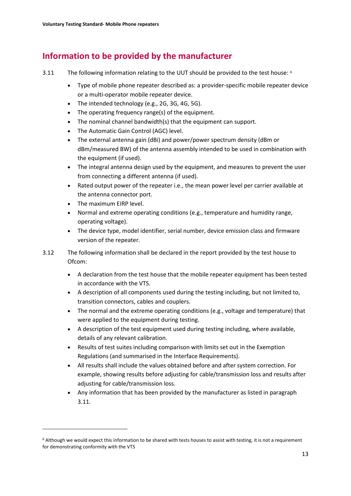# **Information to be provided by the manufacturer**

- <span id="page-12-0"></span>3.11 The following information relating to the UUT should be provided to the test house: <sup>[6](#page-12-1)</sup>
	- Type of mobile phone repeater described as: a provider-specific mobile repeater device or a multi-operator mobile repeater device.
	- The intended technology (e.g., 2G, 3G, 4G, 5G).
	- The operating frequency range(s) of the equipment.
	- The nominal channel bandwidth(s) that the equipment can support.
	- The Automatic Gain Control (AGC) level.
	- The external antenna gain (dBi) and power/power spectrum density (dBm or dBm/measured BW) of the antenna assembly intended to be used in combination with the equipment (if used).
	- The integral antenna design used by the equipment, and measures to prevent the user from connecting a different antenna (if used).
	- Rated output power of the repeater i.e., the mean power level per carrier available at the antenna connector port.
	- The maximum EIRP level.
	- Normal and extreme operating conditions (e.g., temperature and humidity range, operating voltage).
	- The device type, model identifier, serial number, device emission class and firmware version of the repeater.
- 3.12 The following information shall be declared in the report provided by the test house to Ofcom:
	- A declaration from the test house that the mobile repeater equipment has been tested in accordance with the VTS.
	- A description of all components used during the testing including, but not limited to, transition connectors, cables and couplers.
	- The normal and the extreme operating conditions (e.g., voltage and temperature) that were applied to the equipment during testing.
	- A description of the test equipment used during testing including, where available, details of any relevant calibration.
	- Results of test suites including comparison with limits set out in the Exemption Regulations (and summarised in the Interface Requirements).
	- All results shall include the values obtained before and after system correction. For example, showing results before adjusting for cable/transmission loss and results after adjusting for cable/transmission loss.
	- Any information that has been provided by the manufacturer as listed in paragraph [3.11.](#page-12-0)

<span id="page-12-1"></span><sup>6</sup> Although we would expect this information to be shared with tests houses to assist with testing, it is not a requirement for demonstrating conformity with the VTS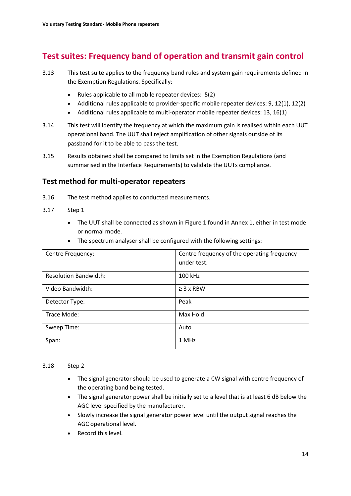# **Test suites: Frequency band of operation and transmit gain control**

- 3.13 This test suite applies to the frequency band rules and system gain requirements defined in the Exemption Regulations. Specifically:
	- Rules applicable to all mobile repeater devices: 5(2)
	- Additional rules applicable to provider-specific mobile repeater devices: 9, 12(1), 12(2)
	- Additional rules applicable to multi-operator mobile repeater devices: 13, 16(1)
- 3.14 This test will identify the frequency at which the maximum gain is realised within each UUT operational band. The UUT shall reject amplification of other signals outside of its passband for it to be able to pass the test.
- 3.15 Results obtained shall be compared to limits set in the Exemption Regulations (and summarised in the Interface Requirements) to validate the UUTs compliance.

## **Test method for multi-operator repeaters**

- 3.16 The test method applies to conducted measurements.
- 3.17 Step 1
	- The UUT shall be connected as shown in Figure 1 found in Annex 1, either in test mode or normal mode.
	- The spectrum analyser shall be configured with the following settings:

| Centre Frequency:            | Centre frequency of the operating frequency<br>under test. |
|------------------------------|------------------------------------------------------------|
| <b>Resolution Bandwidth:</b> | 100 kHz                                                    |
| Video Bandwidth:             | $\geq$ 3 x RBW                                             |
| Detector Type:               | Peak                                                       |
| Trace Mode:                  | Max Hold                                                   |
| Sweep Time:                  | Auto                                                       |
| Span:                        | 1 MHz                                                      |

### <span id="page-13-0"></span>3.18 Step 2

- The signal generator should be used to generate a CW signal with centre frequency of the operating band being tested.
- The signal generator power shall be initially set to a level that is at least 6 dB below the AGC level specified by the manufacturer.
- Slowly increase the signal generator power level until the output signal reaches the AGC operational level.
- Record this level.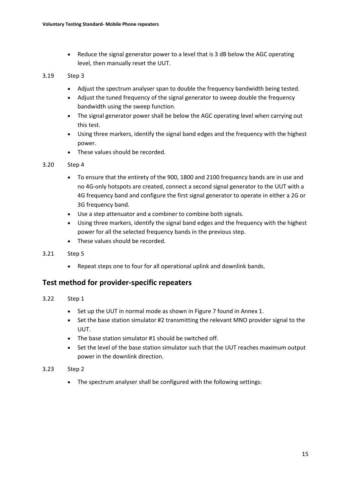• Reduce the signal generator power to a level that is 3 dB below the AGC operating level, then manually reset the UUT.

### 3.19 Step 3

- Adjust the spectrum analyser span to double the frequency bandwidth being tested.
- Adjust the tuned frequency of the signal generator to sweep double the frequency bandwidth using the sweep function.
- The signal generator power shall be below the AGC operating level when carrying out this test.
- Using three markers, identify the signal band edges and the frequency with the highest power.
- These values should be recorded.

### <span id="page-14-0"></span>3.20 Step 4

- To ensure that the entirety of the 900, 1800 and 2100 frequency bands are in use and no 4G-only hotspots are created, connect a second signal generator to the UUT with a 4G frequency band and configure the first signal generator to operate in either a 2G or 3G frequency band.
- Use a step attenuator and a combiner to combine both signals.
- Using three markers, identify the signal band edges and the frequency with the highest power for all the selected frequency bands in the previous step.
- These values should be recorded.

### 3.21 Step 5

• Repeat steps one to four for all operational uplink and downlink bands.

# **Test method for provider-specific repeaters**

### 3.22 Step 1

- Set up the UUT in normal mode as shown in Figure 7 found in Annex 1.
- Set the base station simulator #2 transmitting the relevant MNO provider signal to the UUT.
- The base station simulator #1 should be switched off.
- Set the level of the base station simulator such that the UUT reaches maximum output power in the downlink direction.

### 3.23 Step 2

• The spectrum analyser shall be configured with the following settings: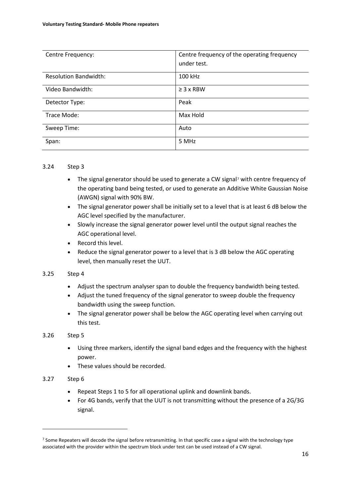| Centre Frequency:            | Centre frequency of the operating frequency |
|------------------------------|---------------------------------------------|
|                              | under test.                                 |
| <b>Resolution Bandwidth:</b> | 100 kHz                                     |
| Video Bandwidth:             | $\geq$ 3 x RBW                              |
| Detector Type:               | Peak                                        |
| Trace Mode:                  | Max Hold                                    |
| Sweep Time:                  | Auto                                        |
| Span:                        | 5 MHz                                       |

### <span id="page-15-1"></span>3.24 Step 3

- The signal generator should be used to generate a CW signal<sup>[7](#page-15-0)</sup> with centre frequency of the operating band being tested, or used to generate an Additive White Gaussian Noise (AWGN) signal with 90% BW.
- The signal generator power shall be initially set to a level that is at least 6 dB below the AGC level specified by the manufacturer.
- Slowly increase the signal generator power level until the output signal reaches the AGC operational level.
- Record this level.
- Reduce the signal generator power to a level that is 3 dB below the AGC operating level, then manually reset the UUT.

### 3.25 Step 4

- Adjust the spectrum analyser span to double the frequency bandwidth being tested.
- Adjust the tuned frequency of the signal generator to sweep double the frequency bandwidth using the sweep function.
- The signal generator power shall be below the AGC operating level when carrying out this test.

### 3.26 Step 5

- Using three markers, identify the signal band edges and the frequency with the highest power.
- These values should be recorded.
- 3.27 Step 6
	- Repeat Steps 1 to 5 for all operational uplink and downlink bands.
	- For 4G bands, verify that the UUT is not transmitting without the presence of a 2G/3G signal.

<span id="page-15-0"></span><sup>&</sup>lt;sup>7</sup> Some Repeaters will decode the signal before retransmitting. In that specific case a signal with the technology type associated with the provider within the spectrum block under test can be used instead of a CW signal.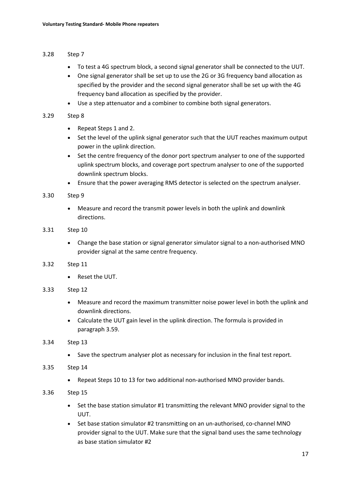### <span id="page-16-0"></span>3.28 Step 7

- To test a 4G spectrum block, a second signal generator shall be connected to the UUT.
- One signal generator shall be set up to use the 2G or 3G frequency band allocation as specified by the provider and the second signal generator shall be set up with the 4G frequency band allocation as specified by the provider.
- Use a step attenuator and a combiner to combine both signal generators.

### 3.29 Step 8

- Repeat Steps 1 and 2.
- Set the level of the uplink signal generator such that the UUT reaches maximum output power in the uplink direction.
- Set the centre frequency of the donor port spectrum analyser to one of the supported uplink spectrum blocks, and coverage port spectrum analyser to one of the supported downlink spectrum blocks.
- Ensure that the power averaging RMS detector is selected on the spectrum analyser.

### 3.30 Step 9

• Measure and record the transmit power levels in both the uplink and downlink directions.

### 3.31 Step 10

- Change the base station or signal generator simulator signal to a non-authorised MNO provider signal at the same centre frequency.
- 3.32 Step 11
	- Reset the UUT.

### 3.33 Step 12

- Measure and record the maximum transmitter noise power level in both the uplink and downlink directions.
- Calculate the UUT gain level in the uplink direction. The formula is provided in paragraph [3.59.](#page-21-0)

### 3.34 Step 13

• Save the spectrum analyser plot as necessary for inclusion in the final test report.

### 3.35 Step 14

• Repeat Steps 10 to 13 for two additional non-authorised MNO provider bands.

### 3.36 Step 15

- Set the base station simulator #1 transmitting the relevant MNO provider signal to the UUT.
- Set base station simulator #2 transmitting on an un-authorised, co-channel MNO provider signal to the UUT. Make sure that the signal band uses the same technology as base station simulator #2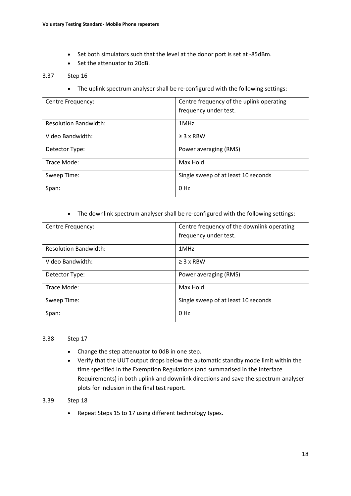- Set both simulators such that the level at the donor port is set at -85dBm.
- Set the attenuator to 20dB.

#### 3.37 Step 16

• The uplink spectrum analyser shall be re-configured with the following settings:

| Centre Frequency:            | Centre frequency of the uplink operating |
|------------------------------|------------------------------------------|
|                              | frequency under test.                    |
| <b>Resolution Bandwidth:</b> | 1MHz                                     |
| Video Bandwidth:             | $\geq$ 3 x RBW                           |
| Detector Type:               | Power averaging (RMS)                    |
| Trace Mode:                  | Max Hold                                 |
| Sweep Time:                  | Single sweep of at least 10 seconds      |
| Span:                        | 0 <sub>Hz</sub>                          |

#### • The downlink spectrum analyser shall be re-configured with the following settings:

| Centre Frequency:            | Centre frequency of the downlink operating |
|------------------------------|--------------------------------------------|
|                              | frequency under test.                      |
| <b>Resolution Bandwidth:</b> | 1MHz                                       |
| Video Bandwidth:             | $\geq$ 3 x RBW                             |
| Detector Type:               | Power averaging (RMS)                      |
| Trace Mode:                  | Max Hold                                   |
| Sweep Time:                  | Single sweep of at least 10 seconds        |
| Span:                        | 0 Hz                                       |

#### 3.38 Step 17

- Change the step attenuator to 0dB in one step.
- Verify that the UUT output drops below the automatic standby mode limit within the time specified in the Exemption Regulations (and summarised in the Interface Requirements) in both uplink and downlink directions and save the spectrum analyser plots for inclusion in the final test report.

### 3.39 Step 18

• Repeat Steps 15 to 17 using different technology types.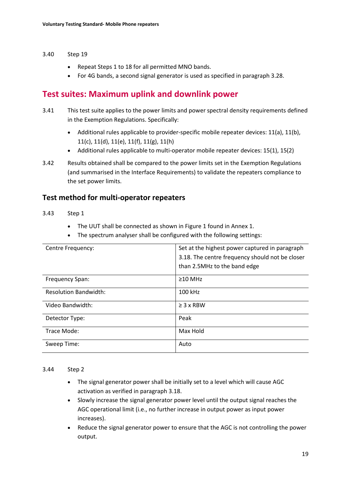#### 3.40 Step 19

- Repeat Steps 1 to 18 for all permitted MNO bands.
- For 4G bands, a second signal generator is used as specified in paragraph [3.28.](#page-16-0)

# **Test suites: Maximum uplink and downlink power**

- <span id="page-18-0"></span>3.41 This test suite applies to the power limits and power spectral density requirements defined in the Exemption Regulations. Specifically:
	- Additional rules applicable to provider-specific mobile repeater devices: 11(a), 11(b), 11(c), 11(d), 11(e), 11(f), 11(g), 11(h)
	- Additional rules applicable to multi-operator mobile repeater devices: 15(1), 15(2)
- 3.42 Results obtained shall be compared to the power limits set in the Exemption Regulations (and summarised in the Interface Requirements) to validate the repeaters compliance to the set power limits.

## **Test method for multi-operator repeaters**

#### 3.43 Step 1

- The UUT shall be connected as shown in Figure 1 found in Annex 1.
- The spectrum analyser shall be configured with the following settings:

| Centre Frequency:            | Set at the highest power captured in paragraph  |
|------------------------------|-------------------------------------------------|
|                              | 3.18. The centre frequency should not be closer |
|                              | than 2.5MHz to the band edge                    |
| Frequency Span:              | $\geq$ 10 MHz                                   |
| <b>Resolution Bandwidth:</b> | 100 kHz                                         |
| Video Bandwidth:             | $\geq$ 3 x RBW                                  |
| Detector Type:               | Peak                                            |
| Trace Mode:                  | Max Hold                                        |
| Sweep Time:                  | Auto                                            |

#### 3.44 Step 2

- The signal generator power shall be initially set to a level which will cause AGC activation as verified in paragraph [3.18.](#page-13-0)
- Slowly increase the signal generator power level until the output signal reaches the AGC operational limit (i.e., no further increase in output power as input power increases).
- Reduce the signal generator power to ensure that the AGC is not controlling the power output.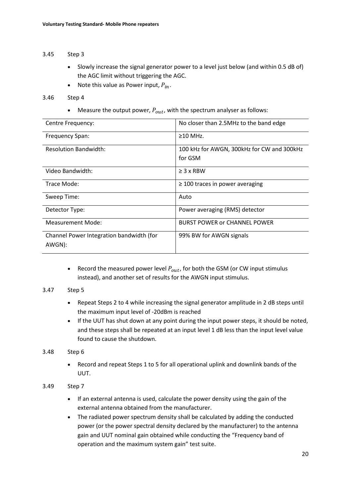### 3.45 Step 3

- Slowly increase the signal generator power to a level just below (and within 0.5 dB of) the AGC limit without triggering the AGC.
- Note this value as Power input,  $P_{in}$ .

### 3.46 Step 4

Measure the output power,  $P_{out}$ , with the spectrum analyser as follows:

| Centre Frequency:                        | No closer than 2.5MHz to the band edge     |
|------------------------------------------|--------------------------------------------|
| Frequency Span:                          | $\geq$ 10 MHz.                             |
| <b>Resolution Bandwidth:</b>             | 100 kHz for AWGN, 300kHz for CW and 300kHz |
|                                          | for GSM                                    |
| Video Bandwidth:                         | $\geq$ 3 x RBW                             |
| Trace Mode:                              | $\geq$ 100 traces in power averaging       |
| Sweep Time:                              | Auto                                       |
| Detector Type:                           | Power averaging (RMS) detector             |
| Measurement Mode:                        | <b>BURST POWER or CHANNEL POWER</b>        |
| Channel Power Integration bandwidth (for | 99% BW for AWGN signals                    |
| AWGN):                                   |                                            |

• Record the measured power level  $P_{out}$ , for both the GSM (or CW input stimulus instead), and another set of results for the AWGN input stimulus.

### 3.47 Step 5

- Repeat Steps 2 to 4 while increasing the signal generator amplitude in 2 dB steps until the maximum input level of -20dBm is reached
- If the UUT has shut down at any point during the input power steps, it should be noted, and these steps shall be repeated at an input level 1 dB less than the input level value found to cause the shutdown.

### 3.48 Step 6

• Record and repeat Steps 1 to 5 for all operational uplink and downlink bands of the UUT.

### 3.49 Step 7

- If an external antenna is used, calculate the power density using the gain of the external antenna obtained from the manufacturer.
- The radiated power spectrum density shall be calculated by adding the conducted power (or the power spectral density declared by the manufacturer) to the antenna gain and UUT nominal gain obtained while conducting the "Frequency band of operation and the maximum system gain" test suite.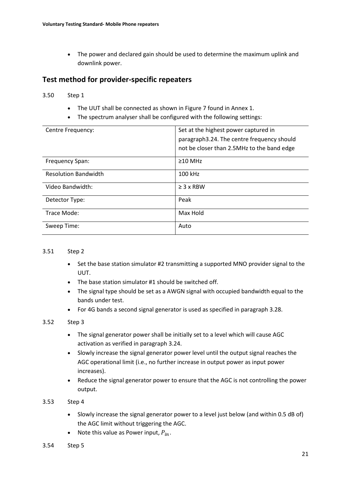• The power and declared gain should be used to determine the maximum uplink and downlink power.

# **Test method for provider-specific repeaters**

### 3.50 Step 1

- The UUT shall be connected as shown in Figure 7 found in Annex 1.
- The spectrum analyser shall be configured with the following settings:

| Centre Frequency:           | Set at the highest power captured in       |
|-----------------------------|--------------------------------------------|
|                             | paragraph3.24. The centre frequency should |
|                             | not be closer than 2.5MHz to the band edge |
| Frequency Span:             | $\geq$ 10 MHz                              |
| <b>Resolution Bandwidth</b> | 100 kHz                                    |
| Video Bandwidth:            | $\geq$ 3 x RBW                             |
| Detector Type:              | Peak                                       |
| Trace Mode:                 | Max Hold                                   |
| Sweep Time:                 | Auto                                       |

### 3.51 Step 2

- Set the base station simulator #2 transmitting a supported MNO provider signal to the UUT.
- The base station simulator #1 should be switched off.
- The signal type should be set as a AWGN signal with occupied bandwidth equal to the bands under test.
- For 4G bands a second signal generator is used as specified in paragraph [3.28.](#page-16-0)

### 3.52 Step 3

- The signal generator power shall be initially set to a level which will cause AGC activation as verified in paragraph [3.24.](#page-15-1)
- Slowly increase the signal generator power level until the output signal reaches the AGC operational limit (i.e., no further increase in output power as input power increases).
- Reduce the signal generator power to ensure that the AGC is not controlling the power output.

### 3.53 Step 4

- Slowly increase the signal generator power to a level just below (and within 0.5 dB of) the AGC limit without triggering the AGC.
- Note this value as Power input,  $P_{in}$ .
- 3.54 Step 5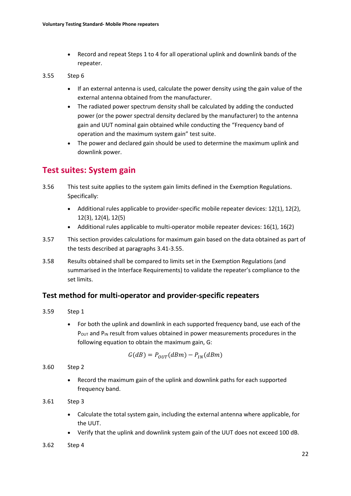• Record and repeat Steps 1 to 4 for all operational uplink and downlink bands of the repeater.

### <span id="page-21-1"></span>3.55 Step 6

- If an external antenna is used, calculate the power density using the gain value of the external antenna obtained from the manufacturer.
- The radiated power spectrum density shall be calculated by adding the conducted power (or the power spectral density declared by the manufacturer) to the antenna gain and UUT nominal gain obtained while conducting the "Frequency band of operation and the maximum system gain" test suite.
- The power and declared gain should be used to determine the maximum uplink and downlink power.

# **Test suites: System gain**

- 3.56 This test suite applies to the system gain limits defined in the Exemption Regulations. Specifically:
	- Additional rules applicable to provider-specific mobile repeater devices: 12(1), 12(2), 12(3), 12(4), 12(5)
	- Additional rules applicable to multi-operator mobile repeater devices: 16(1), 16(2)
- 3.57 This section provides calculations for maximum gain based on the data obtained as part of the tests described at paragraphs [3.41](#page-18-0)[-3.55.](#page-21-1)
- 3.58 Results obtained shall be compared to limits set in the Exemption Regulations (and summarised in the Interface Requirements) to validate the repeater's compliance to the set limits.

## **Test method for multi-operator and provider-specific repeaters**

- <span id="page-21-0"></span>3.59 Step 1
	- For both the uplink and downlink in each supported frequency band, use each of the  $P_{OUT}$  and  $P_{IN}$  result from values obtained in power measurements procedures in the following equation to obtain the maximum gain, G:

$$
G(dB) = P_{OUT}(dBm) - P_{IN}(dBm)
$$

3.60 Step 2

• Record the maximum gain of the uplink and downlink paths for each supported frequency band.

3.61 Step 3

- Calculate the total system gain, including the external antenna where applicable, for the UUT.
- Verify that the uplink and downlink system gain of the UUT does not exceed 100 dB.
- 3.62 Step 4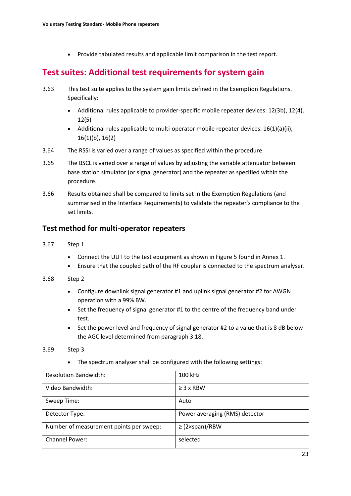• Provide tabulated results and applicable limit comparison in the test report.

# **Test suites: Additional test requirements for system gain**

- 3.63 This test suite applies to the system gain limits defined in the Exemption Regulations. Specifically:
	- Additional rules applicable to provider-specific mobile repeater devices: 12(3b), 12(4), 12(5)
	- Additional rules applicable to multi-operator mobile repeater devices:  $16(1)(a)(ii)$ , 16(1)(b), 16(2)
- 3.64 The RSSI is varied over a range of values as specified within the procedure.
- 3.65 The BSCL is varied over a range of values by adjusting the variable attenuator between base station simulator (or signal generator) and the repeater as specified within the procedure.
- 3.66 Results obtained shall be compared to limits set in the Exemption Regulations (and summarised in the Interface Requirements) to validate the repeater's compliance to the set limits.

### **Test method for multi-operator repeaters**

- 3.67 Step 1
	- Connect the UUT to the test equipment as shown in Figure 5 found in Annex 1.
	- Ensure that the coupled path of the RF coupler is connected to the spectrum analyser.

#### 3.68 Step 2

- Configure downlink signal generator #1 and uplink signal generator #2 for AWGN operation with a 99% BW.
- Set the frequency of signal generator #1 to the centre of the frequency band under test.
- Set the power level and frequency of signal generator #2 to a value that is 8 dB below the AGC level determined from paragraph 3.18.

#### 3.69 Step 3

• The spectrum analyser shall be configured with the following settings:

| <b>Resolution Bandwidth:</b>            | 100 kHz                        |
|-----------------------------------------|--------------------------------|
| Video Bandwidth:                        | $\geq$ 3 x RBW                 |
| Sweep Time:                             | Auto                           |
| Detector Type:                          | Power averaging (RMS) detector |
| Number of measurement points per sweep: | $\geq$ (2×span)/RBW            |
| <b>Channel Power:</b>                   | selected                       |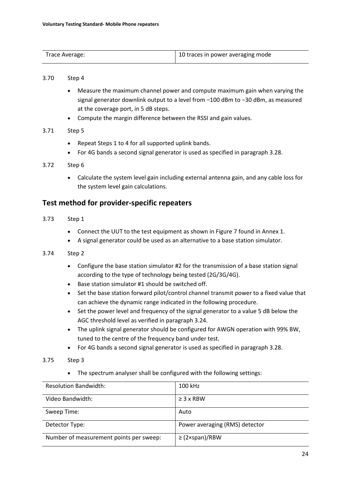| Trace Average: | 10 traces in power averaging mode |
|----------------|-----------------------------------|
|                |                                   |

#### 3.70 Step 4

- Measure the maximum channel power and compute maximum gain when varying the signal generator downlink output to a level from −100 dBm to −30 dBm, as measured at the coverage port, in 5 dB steps.
- Compute the margin difference between the RSSI and gain values.

### 3.71 Step 5

- Repeat Steps 1 to 4 for all supported uplink bands.
- For 4G bands a second signal generator is used as specified in paragraph [3.28.](#page-16-0)

### 3.72 Step 6

• Calculate the system level gain including external antenna gain, and any cable loss for the system level gain calculations.

## **Test method for provider-specific repeaters**

- 3.73 Step 1
	- Connect the UUT to the test equipment as shown in Figure 7 found in Annex 1.
	- A signal generator could be used as an alternative to a base station simulator.

### 3.74 Step 2

- Configure the base station simulator #2 for the transmission of a base station signal according to the type of technology being tested (2G/3G/4G).
- Base station simulator #1 should be switched off.
- Set the base station forward pilot/control channel transmit power to a fixed value that can achieve the dynamic range indicated in the following procedure.
- Set the power level and frequency of the signal generator to a value 5 dB below the AGC threshold level as verified in paragraph [3.24.](#page-15-1)
- The uplink signal generator should be configured for AWGN operation with 99% BW, tuned to the centre of the frequency band under test.
- For 4G bands a second signal generator is used as specified in paragraph [3.28.](#page-16-0)
- 3.75 Step 3
	- The spectrum analyser shall be configured with the following settings:

| <b>Resolution Bandwidth:</b>            | 100 kHz                        |
|-----------------------------------------|--------------------------------|
| Video Bandwidth:                        | $\geq$ 3 x RBW                 |
| Sweep Time:                             | Auto                           |
| Detector Type:                          | Power averaging (RMS) detector |
| Number of measurement points per sweep: | $\geq$ (2×span)/RBW            |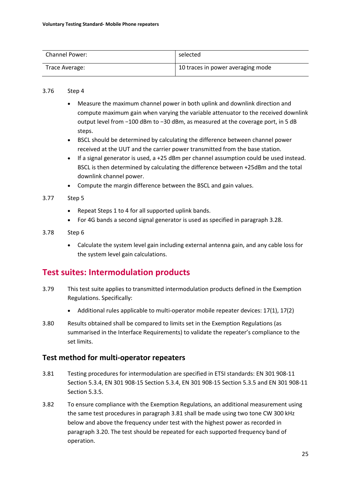| <b>Channel Power:</b> | selected                          |
|-----------------------|-----------------------------------|
| Trace Average:        | 10 traces in power averaging mode |

### 3.76 Step 4

- Measure the maximum channel power in both uplink and downlink direction and compute maximum gain when varying the variable attenuator to the received downlink output level from −100 dBm to −30 dBm, as measured at the coverage port, in 5 dB steps.
- BSCL should be determined by calculating the difference between channel power received at the UUT and the carrier power transmitted from the base station.
- If a signal generator is used, a +25 dBm per channel assumption could be used instead. BSCL is then determined by calculating the difference between +25dBm and the total downlink channel power.
- Compute the margin difference between the BSCL and gain values.

### 3.77 Step 5

- Repeat Steps 1 to 4 for all supported uplink bands.
- For 4G bands a second signal generator is used as specified in paragraph [3.28.](#page-16-0)

### 3.78 Step 6

• Calculate the system level gain including external antenna gain, and any cable loss for the system level gain calculations.

# **Test suites: Intermodulation products**

- 3.79 This test suite applies to transmitted intermodulation products defined in the Exemption Regulations. Specifically:
	- Additional rules applicable to multi-operator mobile repeater devices: 17(1), 17(2)
- 3.80 Results obtained shall be compared to limits set in the Exemption Regulations (as summarised in the Interface Requirements) to validate the repeater's compliance to the set limits.

## **Test method for multi-operator repeaters**

- <span id="page-24-0"></span>3.81 Testing procedures for intermodulation are specified in ETSI standards: EN 301 908-11 Section 5.3.4, EN 301 908-15 Section 5.3.4, EN 301 908-15 Section 5.3.5 and EN 301 908-11 Section 5.3.5.
- 3.82 To ensure compliance with the Exemption Regulations, an additional measurement using the same test procedures in paragraph [3.81](#page-24-0) shall be made using two tone CW 300 kHz below and above the frequency under test with the highest power as recorded in paragraph [3.20.](#page-14-0) The test should be repeated for each supported frequency band of operation.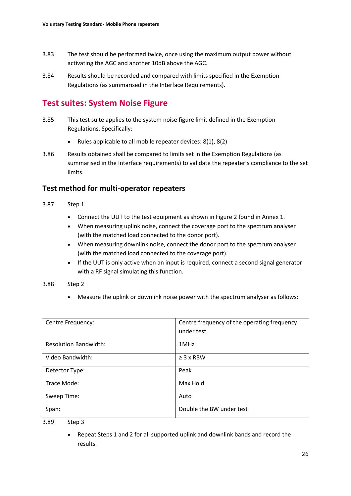- 3.83 The test should be performed twice, once using the maximum output power without activating the AGC and another 10dB above the AGC.
- 3.84 Results should be recorded and compared with limits specified in the Exemption Regulations (as summarised in the Interface Requirements).

# **Test suites: System Noise Figure**

- 3.85 This test suite applies to the system noise figure limit defined in the Exemption Regulations. Specifically:
	- Rules applicable to all mobile repeater devices: 8(1), 8(2)
- 3.86 Results obtained shall be compared to limits set in the Exemption Regulations (as summarised in the Interface requirements) to validate the repeater's compliance to the set limits.

## **Test method for multi-operator repeaters**

- <span id="page-25-0"></span>3.87 Step 1
	- Connect the UUT to the test equipment as shown in Figure 2 found in Annex 1.
	- When measuring uplink noise, connect the coverage port to the spectrum analyser (with the matched load connected to the donor port).
	- When measuring downlink noise, connect the donor port to the spectrum analyser (with the matched load connected to the coverage port).
	- If the UUT is only active when an input is required, connect a second signal generator with a RF signal simulating this function.

### 3.88 Step 2

• Measure the uplink or downlink noise power with the spectrum analyser as follows:

| Centre Frequency:            | Centre frequency of the operating frequency<br>under test. |
|------------------------------|------------------------------------------------------------|
|                              |                                                            |
| <b>Resolution Bandwidth:</b> | 1MHz                                                       |
| Video Bandwidth:             | $\geq$ 3 x RBW                                             |
| Detector Type:               | Peak                                                       |
| Trace Mode:                  | Max Hold                                                   |
| Sweep Time:                  | Auto                                                       |
| Span:                        | Double the BW under test                                   |

<sup>3.89</sup> Step 3

• Repeat Steps 1 and 2 for all supported uplink and downlink bands and record the results.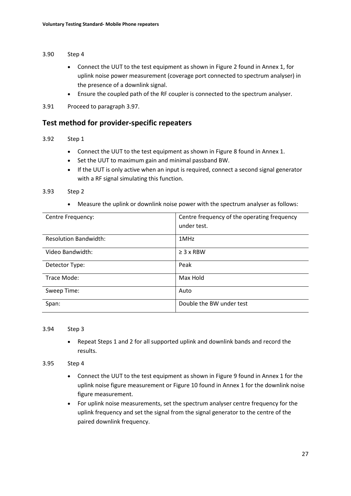#### 3.90 Step 4

- Connect the UUT to the test equipment as shown in Figure 2 found in Annex 1, for uplink noise power measurement (coverage port connected to spectrum analyser) in the presence of a downlink signal.
- Ensure the coupled path of the RF coupler is connected to the spectrum analyser.
- 3.91 Proceed to paragraph [3.97.](#page-27-0)

### **Test method for provider-specific repeaters**

### 3.92 Step 1

- Connect the UUT to the test equipment as shown in Figure 8 found in Annex 1.
- Set the UUT to maximum gain and minimal passband BW.
- If the UUT is only active when an input is required, connect a second signal generator with a RF signal simulating this function.

#### 3.93 Step 2

• Measure the uplink or downlink noise power with the spectrum analyser as follows:

| Centre Frequency:            | Centre frequency of the operating frequency<br>under test. |
|------------------------------|------------------------------------------------------------|
| <b>Resolution Bandwidth:</b> | 1MHz                                                       |
| Video Bandwidth:             | $\geq$ 3 x RBW                                             |
| Detector Type:               | Peak                                                       |
| Trace Mode:                  | Max Hold                                                   |
| Sweep Time:                  | Auto                                                       |
| Span:                        | Double the BW under test                                   |

#### 3.94 Step 3

• Repeat Steps 1 and 2 for all supported uplink and downlink bands and record the results.

#### 3.95 Step 4

- Connect the UUT to the test equipment as shown in Figure 9 found in Annex 1 for the uplink noise figure measurement or Figure 10 found in Annex 1 for the downlink noise figure measurement.
- For uplink noise measurements, set the spectrum analyser centre frequency for the uplink frequency and set the signal from the signal generator to the centre of the paired downlink frequency.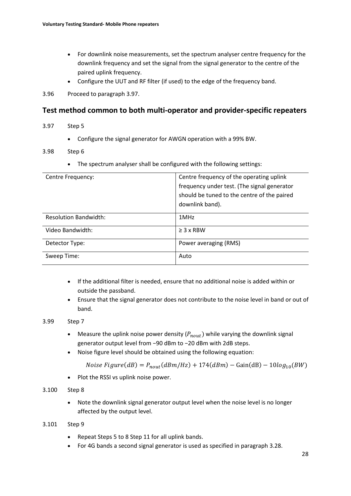- For downlink noise measurements, set the spectrum analyser centre frequency for the downlink frequency and set the signal from the signal generator to the centre of the paired uplink frequency.
- Configure the UUT and RF filter (if used) to the edge of the frequency band.
- 3.96 Proceed to paragraph [3.97.](#page-27-0)

## **Test method common to both multi-operator and provider-specific repeaters**

### <span id="page-27-0"></span>3.97 Step 5

• Configure the signal generator for AWGN operation with a 99% BW.

### 3.98 Step 6

• The spectrum analyser shall be configured with the following settings:

| Centre Frequency:            | Centre frequency of the operating uplink    |
|------------------------------|---------------------------------------------|
|                              | frequency under test. (The signal generator |
|                              | should be tuned to the centre of the paired |
|                              | downlink band).                             |
| <b>Resolution Bandwidth:</b> | 1MHz                                        |
| Video Bandwidth:             | $\geq$ 3 x RBW                              |
| Detector Type:               | Power averaging (RMS)                       |
| Sweep Time:                  | Auto                                        |

- If the additional filter is needed, ensure that no additional noise is added within or outside the passband.
- Ensure that the signal generator does not contribute to the noise level in band or out of band.

### 3.99 Step 7

- Measure the uplink noise power density  $(P_{nout})$  while varying the downlink signal generator output level from −90 dBm to −20 dBm with 2dB steps.
- Noise figure level should be obtained using the following equation:

 $Noise \, Figure(dB) = P_{nout}(dBm/Hz) + 174(dBm) - Gain(dB) - 10log_{10}(BW)$ 

• Plot the RSSI vs uplink noise power.

### 3.100 Step 8

• Note the downlink signal generator output level when the noise level is no longer affected by the output level.

### 3.101 Step 9

- Repeat Steps 5 to 8 Step 11 for all uplink bands.
- For 4G bands a second signal generator is used as specified in paragraph [3.28.](#page-16-0)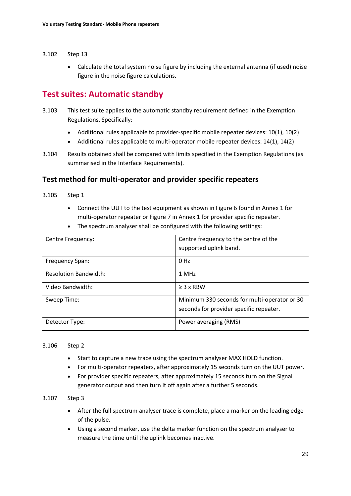- <span id="page-28-0"></span>3.102 Step 13
	- Calculate the total system noise figure by including the external antenna (if used) noise figure in the noise figure calculations.

# **Test suites: Automatic standby**

- 3.103 This test suite applies to the automatic standby requirement defined in the Exemption Regulations. Specifically:
	- Additional rules applicable to provider-specific mobile repeater devices: 10(1), 10(2)
	- Additional rules applicable to multi-operator mobile repeater devices: 14(1), 14(2)
- 3.104 Results obtained shall be compared with limits specified in the Exemption Regulations (as summarised in the Interface Requirements).

## **Test method for multi-operator and provider specific repeaters**

- 3.105 Step 1
	- Connect the UUT to the test equipment as shown in Figure 6 found in Annex 1 for multi-operator repeater or Figure 7 in Annex 1 for provider specific repeater.
	- The spectrum analyser shall be configured with the following settings:

| Centre Frequency:            | Centre frequency to the centre of the<br>supported uplink band.                         |
|------------------------------|-----------------------------------------------------------------------------------------|
| Frequency Span:              | $0$ Hz                                                                                  |
| <b>Resolution Bandwidth:</b> | 1 MHz                                                                                   |
| Video Bandwidth:             | $\geq$ 3 x RBW                                                                          |
| Sweep Time:                  | Minimum 330 seconds for multi-operator or 30<br>seconds for provider specific repeater. |
| Detector Type:               | Power averaging (RMS)                                                                   |

### 3.106 Step 2

- Start to capture a new trace using the spectrum analyser MAX HOLD function.
- For multi-operator repeaters, after approximately 15 seconds turn on the UUT power.
- For provider specific repeaters, after approximately 15 seconds turn on the Signal generator output and then turn it off again after a further 5 seconds.

### 3.107 Step 3

- After the full spectrum analyser trace is complete, place a marker on the leading edge of the pulse.
- Using a second marker, use the delta marker function on the spectrum analyser to measure the time until the uplink becomes inactive.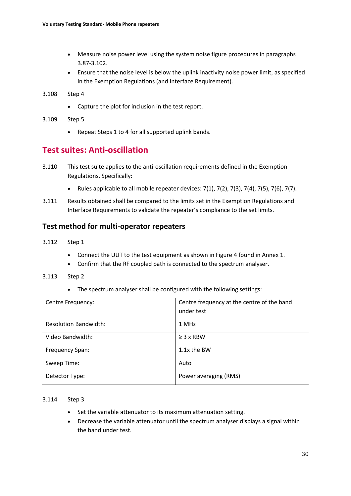- Measure noise power level using the system noise figure procedures in paragraphs [3.87](#page-25-0)[-3.102.](#page-28-0)
- Ensure that the noise level is below the uplink inactivity noise power limit, as specified in the Exemption Regulations (and Interface Requirement).
- 3.108 Step 4
	- Capture the plot for inclusion in the test report.
- 3.109 Step 5
	- Repeat Steps 1 to 4 for all supported uplink bands.

# **Test suites: Anti-oscillation**

- 3.110 This test suite applies to the anti-oscillation requirements defined in the Exemption Regulations. Specifically:
	- Rules applicable to all mobile repeater devices:  $7(1)$ ,  $7(2)$ ,  $7(3)$ ,  $7(4)$ ,  $7(5)$ ,  $7(6)$ ,  $7(7)$ .
- 3.111 Results obtained shall be compared to the limits set in the Exemption Regulations and Interface Requirements to validate the repeater's compliance to the set limits.

## **Test method for multi-operator repeaters**

- 3.112 Step 1
	- Connect the UUT to the test equipment as shown in Figure 4 found in Annex 1.
	- Confirm that the RF coupled path is connected to the spectrum analyser.

### 3.113 Step 2

• The spectrum analyser shall be configured with the following settings:

| Centre Frequency:            | Centre frequency at the centre of the band<br>under test |
|------------------------------|----------------------------------------------------------|
| <b>Resolution Bandwidth:</b> | 1 MHz                                                    |
| Video Bandwidth:             | $\geq$ 3 x RBW                                           |
| Frequency Span:              | 1.1x the BW                                              |
| Sweep Time:                  | Auto                                                     |
| Detector Type:               | Power averaging (RMS)                                    |

### 3.114 Step 3

- Set the variable attenuator to its maximum attenuation setting.
- Decrease the variable attenuator until the spectrum analyser displays a signal within the band under test.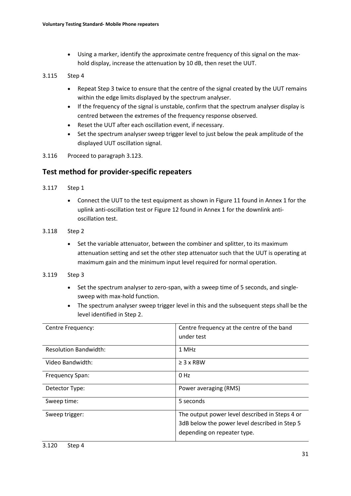• Using a marker, identify the approximate centre frequency of this signal on the maxhold display, increase the attenuation by 10 dB, then reset the UUT.

### 3.115 Step 4

- Repeat Step 3 twice to ensure that the centre of the signal created by the UUT remains within the edge limits displayed by the spectrum analyser.
- If the frequency of the signal is unstable, confirm that the spectrum analyser display is centred between the extremes of the frequency response observed.
- Reset the UUT after each oscillation event, if necessary.
- Set the spectrum analyser sweep trigger level to just below the peak amplitude of the displayed UUT oscillation signal.
- 3.116 Proceed to paragraph [3.123.](#page-31-0)

## **Test method for provider-specific repeaters**

- 3.117 Step 1
	- Connect the UUT to the test equipment as shown in Figure 11 found in Annex 1 for the uplink anti-oscillation test or Figure 12 found in Annex 1 for the downlink antioscillation test.
- 3.118 Step 2
	- Set the variable attenuator, between the combiner and splitter, to its maximum attenuation setting and set the other step attenuator such that the UUT is operating at maximum gain and the minimum input level required for normal operation.
- 3.119 Step 3
	- Set the spectrum analyser to zero-span, with a sweep time of 5 seconds, and singlesweep with max-hold function.
	- The spectrum analyser sweep trigger level in this and the subsequent steps shall be the level identified in Step 2.

| Centre Frequency:            | Centre frequency at the centre of the band<br>under test |
|------------------------------|----------------------------------------------------------|
|                              |                                                          |
| <b>Resolution Bandwidth:</b> | 1 MHz                                                    |
| Video Bandwidth:             | $\geq$ 3 x RBW                                           |
| Frequency Span:              | 0 Hz                                                     |
| Detector Type:               | Power averaging (RMS)                                    |
| Sweep time:                  | 5 seconds                                                |
| Sweep trigger:               | The output power level described in Steps 4 or           |
|                              | 3dB below the power level described in Step 5            |
|                              | depending on repeater type.                              |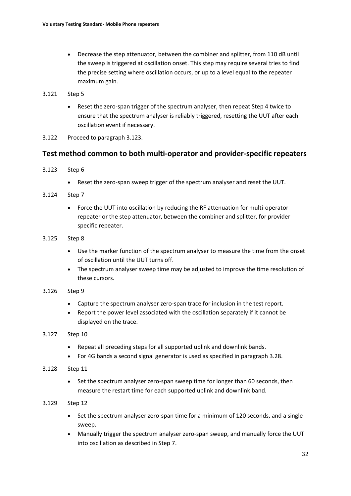• Decrease the step attenuator, between the combiner and splitter, from 110 dB until the sweep is triggered at oscillation onset. This step may require several tries to find the precise setting where oscillation occurs, or up to a level equal to the repeater maximum gain.

### 3.121 Step 5

- Reset the zero-span trigger of the spectrum analyser, then repeat Step 4 twice to ensure that the spectrum analyser is reliably triggered, resetting the UUT after each oscillation event if necessary.
- 3.122 Proceed to paragraph [3.123.](#page-31-0)

## **Test method common to both multi-operator and provider-specific repeaters**

- <span id="page-31-0"></span>3.123 Step 6
	- Reset the zero-span sweep trigger of the spectrum analyser and reset the UUT.
- 3.124 Step 7
	- Force the UUT into oscillation by reducing the RF attenuation for multi-operator repeater or the step attenuator, between the combiner and splitter, for provider specific repeater.
- 3.125 Step 8
	- Use the marker function of the spectrum analyser to measure the time from the onset of oscillation until the UUT turns off.
	- The spectrum analyser sweep time may be adjusted to improve the time resolution of these cursors.

### 3.126 Step 9

- Capture the spectrum analyser zero-span trace for inclusion in the test report.
- Report the power level associated with the oscillation separately if it cannot be displayed on the trace.

### 3.127 Step 10

- Repeat all preceding steps for all supported uplink and downlink bands.
- For 4G bands a second signal generator is used as specified in paragraph [3.28.](#page-16-0)

### 3.128 Step 11

• Set the spectrum analyser zero-span sweep time for longer than 60 seconds, then measure the restart time for each supported uplink and downlink band.

### 3.129 Step 12

- Set the spectrum analyser zero-span time for a minimum of 120 seconds, and a single sweep.
- Manually trigger the spectrum analyser zero-span sweep, and manually force the UUT into oscillation as described in Step 7.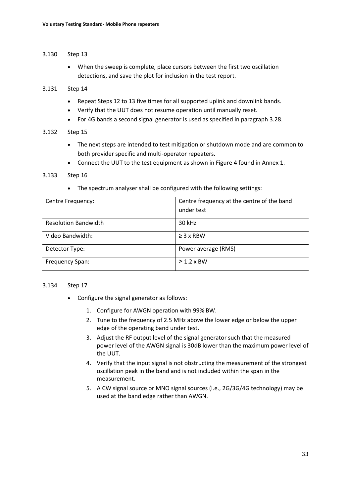### 3.130 Step 13

• When the sweep is complete, place cursors between the first two oscillation detections, and save the plot for inclusion in the test report.

### 3.131 Step 14

- Repeat Steps 12 to 13 five times for all supported uplink and downlink bands.
- Verify that the UUT does not resume operation until manually reset.
- For 4G bands a second signal generator is used as specified in paragraph [3.28.](#page-16-0)

### 3.132 Step 15

- The next steps are intended to test mitigation or shutdown mode and are common to both provider specific and multi-operator repeaters.
- Connect the UUT to the test equipment as shown in Figure 4 found in Annex 1.

### 3.133 Step 16

• The spectrum analyser shall be configured with the following settings:

| Centre Frequency:           | Centre frequency at the centre of the band<br>under test |
|-----------------------------|----------------------------------------------------------|
| <b>Resolution Bandwidth</b> | 30 kHz                                                   |
| Video Bandwidth:            | $\geq$ 3 x RBW                                           |
| Detector Type:              | Power average (RMS)                                      |
| Frequency Span:             | $>1.2$ x BW                                              |

#### 3.134 Step 17

- Configure the signal generator as follows:
	- 1. Configure for AWGN operation with 99% BW.
	- 2. Tune to the frequency of 2.5 MHz above the lower edge or below the upper edge of the operating band under test.
	- 3. Adjust the RF output level of the signal generator such that the measured power level of the AWGN signal is 30dB lower than the maximum power level of the UUT.
	- 4. Verify that the input signal is not obstructing the measurement of the strongest oscillation peak in the band and is not included within the span in the measurement.
	- 5. A CW signal source or MNO signal sources (i.e., 2G/3G/4G technology) may be used at the band edge rather than AWGN.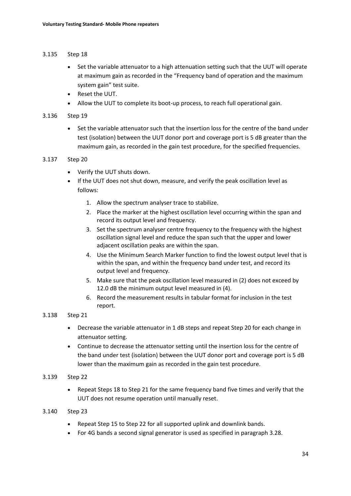### 3.135 Step 18

- Set the variable attenuator to a high attenuation setting such that the UUT will operate at maximum gain as recorded in the "Frequency band of operation and the maximum system gain" test suite.
- Reset the UUT.
- Allow the UUT to complete its boot-up process, to reach full operational gain.

### 3.136 Step 19

• Set the variable attenuator such that the insertion loss for the centre of the band under test (isolation) between the UUT donor port and coverage port is 5 dB greater than the maximum gain, as recorded in the gain test procedure, for the specified frequencies.

### 3.137 Step 20

- Verify the UUT shuts down.
- If the UUT does not shut down, measure, and verify the peak oscillation level as follows:
	- 1. Allow the spectrum analyser trace to stabilize.
	- 2. Place the marker at the highest oscillation level occurring within the span and record its output level and frequency.
	- 3. Set the spectrum analyser centre frequency to the frequency with the highest oscillation signal level and reduce the span such that the upper and lower adjacent oscillation peaks are within the span.
	- 4. Use the Minimum Search Marker function to find the lowest output level that is within the span, and within the frequency band under test, and record its output level and frequency.
	- 5. Make sure that the peak oscillation level measured in (2) does not exceed by 12.0 dB the minimum output level measured in (4).
	- 6. Record the measurement results in tabular format for inclusion in the test report.

### 3.138 Step 21

- Decrease the variable attenuator in 1 dB steps and repeat Step 20 for each change in attenuator setting.
- Continue to decrease the attenuator setting until the insertion loss for the centre of the band under test (isolation) between the UUT donor port and coverage port is 5 dB lower than the maximum gain as recorded in the gain test procedure.

### 3.139 Step 22

• Repeat Steps 18 to Step 21 for the same frequency band five times and verify that the UUT does not resume operation until manually reset.

### 3.140 Step 23

- Repeat Step 15 to Step 22 for all supported uplink and downlink bands.
- For 4G bands a second signal generator is used as specified in paragraph [3.28.](#page-16-0)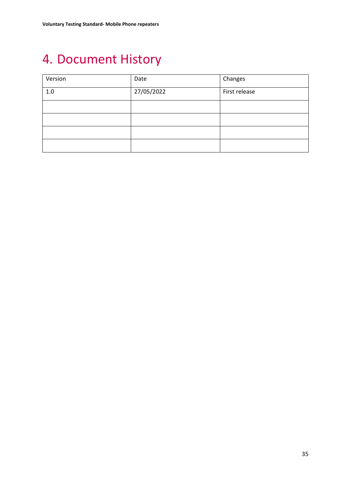# <span id="page-34-0"></span>4. Document History

| Version | Date       | Changes       |
|---------|------------|---------------|
| 1.0     | 27/05/2022 | First release |
|         |            |               |
|         |            |               |
|         |            |               |
|         |            |               |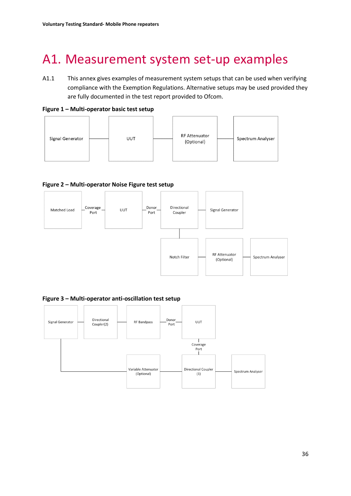# <span id="page-35-0"></span>A1. Measurement system set-up examples

A1.1 This annex gives examples of measurement system setups that can be used when verifying compliance with the Exemption Regulations. Alternative setups may be used provided they are fully documented in the test report provided to Ofcom.





### **Figure 2 – Multi-operator Noise Figure test setup**



**Figure 3 – Multi-operator anti-oscillation test setup**

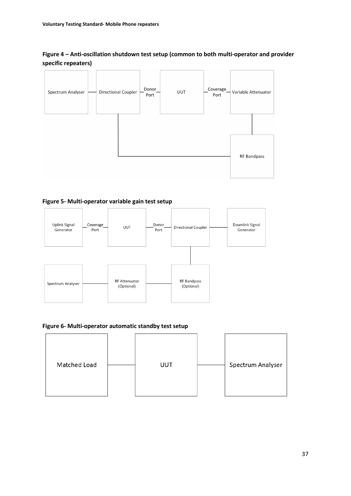### **Figure 4 – Anti-oscillation shutdown test setup (common to both multi-operator and provider specific repeaters)**



### **Figure 5- Multi-operator variable gain test setup**



### **Figure 6- Multi-operator automatic standby test setup**

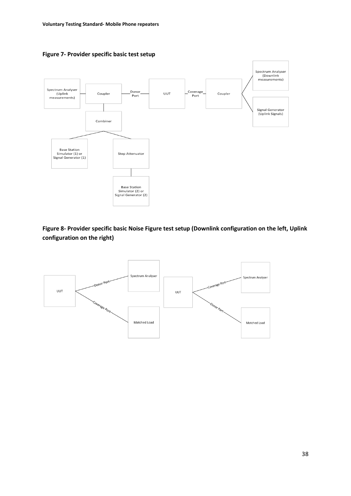



**Figure 8- Provider specific basic Noise Figure test setup (Downlink configuration on the left, Uplink configuration on the right)**

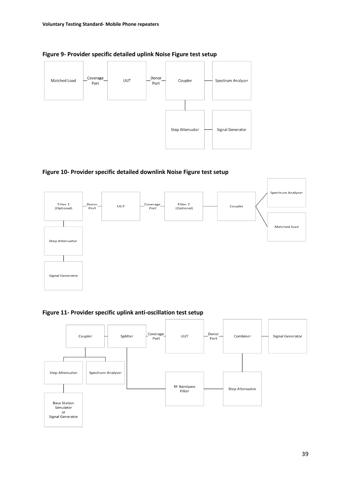

**Figure 9- Provider specific detailed uplink Noise Figure test setup**





**Figure 11- Provider specific uplink anti-oscillation test setup**

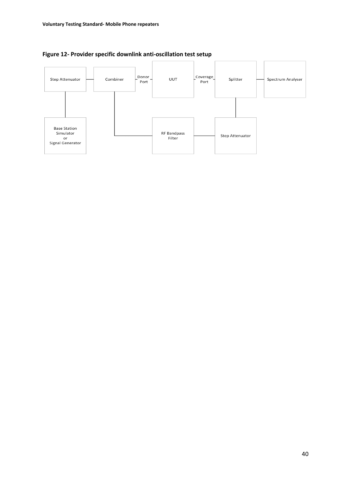

## **Figure 12- Provider specific downlink anti-oscillation test setup**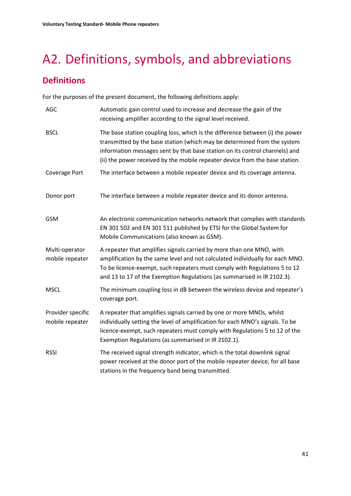# <span id="page-40-0"></span>A2. Definitions, symbols, and abbreviations

# **Definitions**

For the purposes of the present document, the following definitions apply:

| <b>AGC</b>                           | Automatic gain control used to increase and decrease the gain of the<br>receiving amplifier according to the signal level received.                                                                                                                                                                                      |
|--------------------------------------|--------------------------------------------------------------------------------------------------------------------------------------------------------------------------------------------------------------------------------------------------------------------------------------------------------------------------|
| <b>BSCL</b>                          | The base station coupling loss, which is the difference between (i) the power<br>transmitted by the base station (which may be determined from the system<br>information messages sent by that base station on its control channels) and<br>(ii) the power received by the mobile repeater device from the base station. |
| Coverage Port                        | The interface between a mobile repeater device and its coverage antenna.                                                                                                                                                                                                                                                 |
| Donor port                           | The interface between a mobile repeater device and its donor antenna.                                                                                                                                                                                                                                                    |
| <b>GSM</b>                           | An electronic communication networks network that complies with standards<br>EN 301 502 and EN 301 511 published by ETSI for the Global System for<br>Mobile Communications (also known as GSM).                                                                                                                         |
| Multi-operator<br>mobile repeater    | A repeater that amplifies signals carried by more than one MNO, with<br>amplification by the same level and not calculated individually for each MNO.<br>To be licence-exempt, such repeaters must comply with Regulations 5 to 12<br>and 13 to 17 of the Exemption Regulations (as summarised in IR 2102.3).            |
| <b>MSCL</b>                          | The minimum coupling loss in dB between the wireless device and repeater's<br>coverage port.                                                                                                                                                                                                                             |
| Provider specific<br>mobile repeater | A repeater that amplifies signals carried by one or more MNOs, whilst<br>individually setting the level of amplification for each MNO's signals. To be<br>licence-exempt, such repeaters must comply with Regulations 5 to 12 of the<br>Exemption Regulations (as summarised in IR 2102.1).                              |
| <b>RSSI</b>                          | The received signal strength indicator, which is the total downlink signal<br>power received at the donor port of the mobile repeater device, for all base<br>stations in the frequency band being transmitted.                                                                                                          |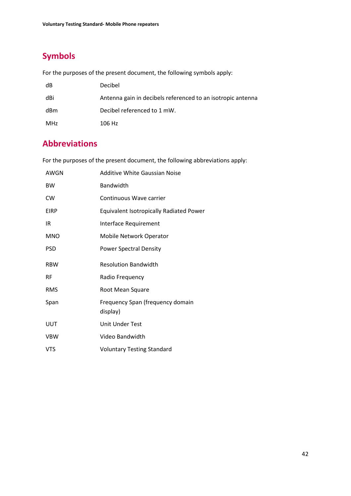# **Symbols**

For the purposes of the present document, the following symbols apply:

| dB  | Decibel                                                     |
|-----|-------------------------------------------------------------|
| dBi | Antenna gain in decibels referenced to an isotropic antenna |
| dBm | Decibel referenced to 1 mW.                                 |
| MHz | 106 Hz                                                      |

# **Abbreviations**

For the purposes of the present document, the following abbreviations apply:

| AWGN        | Additive White Gaussian Noise                  |
|-------------|------------------------------------------------|
| <b>BW</b>   | Bandwidth                                      |
| <b>CW</b>   | Continuous Wave carrier                        |
| <b>EIRP</b> | <b>Equivalent Isotropically Radiated Power</b> |
| IR          | Interface Requirement                          |
| <b>MNO</b>  | Mobile Network Operator                        |
| <b>PSD</b>  | <b>Power Spectral Density</b>                  |
| <b>RBW</b>  | <b>Resolution Bandwidth</b>                    |
| <b>RF</b>   | Radio Frequency                                |
| <b>RMS</b>  | Root Mean Square                               |
| Span        | Frequency Span (frequency domain<br>display)   |
| UUT         | Unit Under Test                                |
| <b>VBW</b>  | Video Bandwidth                                |
| <b>VTS</b>  | <b>Voluntary Testing Standard</b>              |